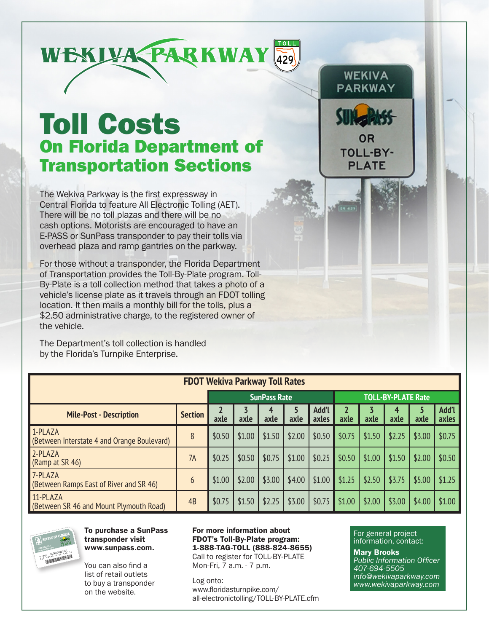

## Toll Costs On Florida Department of Transportation Sections

The Wekiva Parkway is the first expressway in Central Florida to feature All Electronic Tolling (AET). There will be no toll plazas and there will be no cash options. Motorists are encouraged to have an E-PASS or SunPass transponder to pay their tolls via overhead plaza and ramp gantries on the parkway.

For those without a transponder, the Florida Department of Transportation provides the Toll-By-Plate program. Toll-By-Plate is a toll collection method that takes a photo of a vehicle's license plate as it travels through an FDOT tolling location. It then mails a monthly bill for the tolls, plus a \$2.50 administrative charge, to the registered owner of the vehicle.

The Department's toll collection is handled by the Florida's Turnpike Enterprise.

| <b>FDOT Wekiva Parkway Toll Rates</b>                  |                |        |        |                     |           |                |        |        |                           |           |                |
|--------------------------------------------------------|----------------|--------|--------|---------------------|-----------|----------------|--------|--------|---------------------------|-----------|----------------|
|                                                        |                |        |        | <b>SunPass Rate</b> |           |                |        |        | <b>TOLL-BY-PLATE Rate</b> |           |                |
| <b>Mile-Post - Description</b>                         | <b>Section</b> | axle   | axle   | 4<br>axle           | 5<br>axle | Add'l<br>axles | axle   | axle   | 4<br>axle                 | 5<br>axle | Add'l<br>axles |
| 1-PLAZA<br>(Between Interstate 4 and Orange Boulevard) | 8              | \$0.50 | \$1.00 | \$1.50              | \$2.00    | \$0.50         | \$0.75 | \$1.50 | \$2.25                    | \$3.00    | \$0.75         |
| 2-PLAZA<br>(Ramp at SR 46)                             | 7A             | \$0.25 | \$0.50 | \$0.75              | \$1.00    | \$0.25         | \$0.50 | \$1.00 | \$1.50                    | \$2.00    | \$0.50         |
| 7-PLAZA<br>(Between Ramps East of River and SR 46)     | 6              | \$1.00 | \$2.00 | \$3.00              | \$4.00    | \$1.00         | \$1.25 | \$2.50 | \$3.75                    | \$5.00    | \$1.25         |
| 11-PLAZA<br>(Between SR 46 and Mount Plymouth Road)    | 4B             | \$0.75 | \$1.50 | \$2.25              | \$3.00    | \$0.75         | \$1.00 | \$2.00 | \$3.00                    | \$4.00    | \$1.00         |



To purchase a SunPass transponder visit www.sunpass.com.

You can also find a list of retail outlets to buy a transponder on the website.

For more information about FDOT's Toll-By-Plate program: 1-888-TAG-TOLL (888-824-8655)

Call to register for TOLL-BY-PLATE Mon-Fri, 7 a.m. - 7 p.m.

Log onto: www.floridasturnpike.com/ all-electronictolling/TOLL-BY-PLATE.cfm

For general project information, contact:

**WEKIVA** PARKWAY

OR **TOLL-BY-PLATE** 

**ER 423** 

Mary Brooks *Public Information Officer 407-694-5505 info@wekivaparkway.com www.wekivaparkway.com*